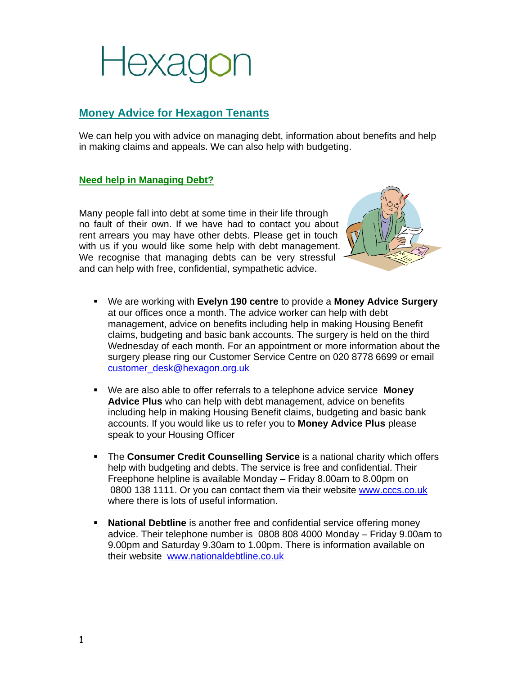

### **Money Advice for Hexagon Tenants**

We can help you with advice on managing debt, information about benefits and help in making claims and appeals. We can also help with budgeting.

#### **Need help in Managing Debt?**

Many people fall into debt at some time in their life through no fault of their own. If we have had to contact you about rent arrears you may have other debts. Please get in touch with us if you would like some help with debt management. We recognise that managing debts can be very stressful and can help with free, confidential, sympathetic advice.



- We are working with **Evelyn 190 centre** to provide a **Money Advice Surgery** at our offices once a month. The advice worker can help with debt management, advice on benefits including help in making Housing Benefit claims, budgeting and basic bank accounts. The surgery is held on the third Wednesday of each month. For an appointment or more information about the surgery please ring our Customer Service Centre on 020 8778 6699 or email customer\_desk@hexagon.org.uk
- We are also able to offer referrals to a telephone advice service **Money Advice Plus** who can help with debt management, advice on benefits including help in making Housing Benefit claims, budgeting and basic bank accounts. If you would like us to refer you to **Money Advice Plus** please speak to your Housing Officer
- **The Consumer Credit Counselling Service** is a national charity which offers help with budgeting and debts. The service is free and confidential. Their Freephone helpline is available Monday – Friday 8.00am to 8.00pm on 0800 138 1111. Or you can contact them via their website www.cccs.co.uk where there is lots of useful information.
- **National Debtline** is another free and confidential service offering money advice. Their telephone number is 0808 808 4000 Monday – Friday 9.00am to 9.00pm and Saturday 9.30am to 1.00pm. There is information available on their website www.nationaldebtline.co.uk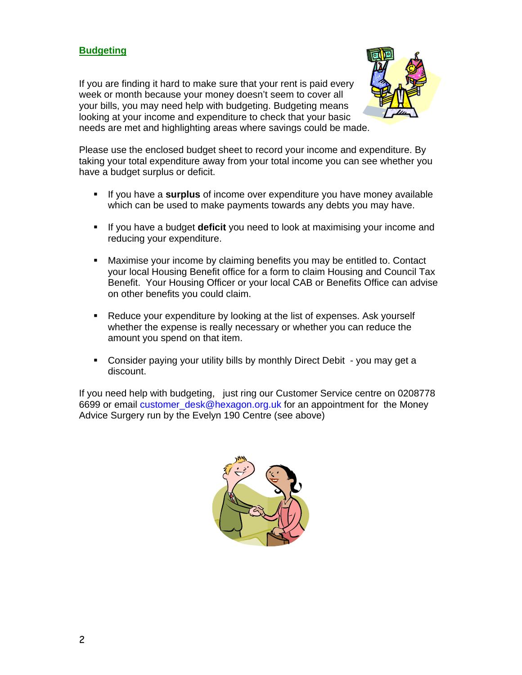### **Budgeting**

If you are finding it hard to make sure that your rent is paid every week or month because your money doesn't seem to cover all your bills, you may need help with budgeting. Budgeting means looking at your income and expenditure to check that your basic needs are met and highlighting areas where savings could be made.



Please use the enclosed budget sheet to record your income and expenditure. By taking your total expenditure away from your total income you can see whether you have a budget surplus or deficit.

- If you have a **surplus** of income over expenditure you have money available which can be used to make payments towards any debts you may have.
- If you have a budget **deficit** you need to look at maximising your income and reducing your expenditure.
- Maximise your income by claiming benefits you may be entitled to. Contact your local Housing Benefit office for a form to claim Housing and Council Tax Benefit. Your Housing Officer or your local CAB or Benefits Office can advise on other benefits you could claim.
- Reduce your expenditure by looking at the list of expenses. Ask yourself whether the expense is really necessary or whether you can reduce the amount you spend on that item.
- Consider paying your utility bills by monthly Direct Debit you may get a discount.

If you need help with budgeting, just ring our Customer Service centre on 0208778 6699 or email customer desk@hexagon.org.uk for an appointment for the Money Advice Surgery run by the Evelyn 190 Centre (see above)

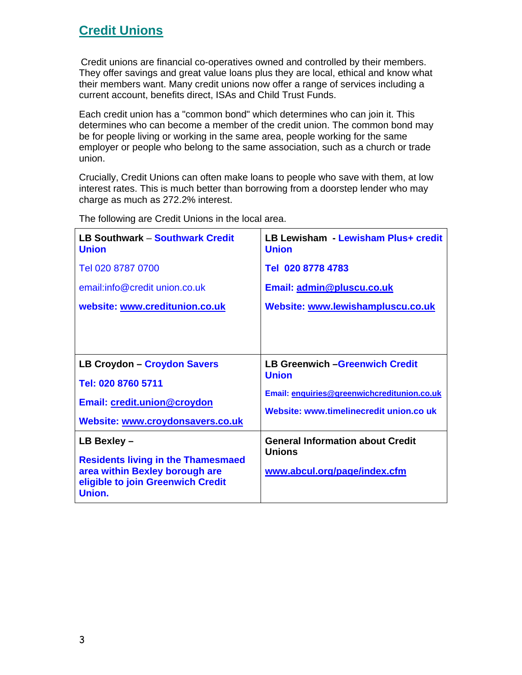### **Credit Unions**

Credit unions are financial co-operatives owned and controlled by their members. They offer savings and great value loans plus they are local, ethical and know what their members want. Many credit unions now offer a range of services including a current account, benefits direct, ISAs and Child Trust Funds.

Each credit union has a "common bond" which determines who can join it. This determines who can become a member of the credit union. The common bond may be for people living or working in the same area, people working for the same employer or people who belong to the same association, such as a church or trade union.

Crucially, Credit Unions can often make loans to people who save with them, at low interest rates. This is much better than borrowing from a doorstep lender who may charge as much as 272.2% interest.

| <b>LB Southwark - Southwark Credit</b><br><b>Union</b>                                                                     | LB Lewisham - Lewisham Plus+ credit<br><b>Union</b>      |
|----------------------------------------------------------------------------------------------------------------------------|----------------------------------------------------------|
| Tel 020 8787 0700                                                                                                          | Tel 020 8778 4783                                        |
| email:info@credit union.co.uk                                                                                              | Email: admin@pluscu.co.uk                                |
| website: www.creditunion.co.uk                                                                                             | Website: www.lewishampluscu.co.uk                        |
|                                                                                                                            |                                                          |
| <b>LB Croydon - Croydon Savers</b>                                                                                         | <b>LB Greenwich - Greenwich Credit</b><br><b>Union</b>   |
| Tel: 020 8760 5711                                                                                                         | Email: enquiries@greenwichcreditunion.co.uk              |
| <b>Email: credit.union@croydon</b>                                                                                         | Website: www.timelinecredit union.co uk                  |
| Website: www.croydonsavers.co.uk                                                                                           |                                                          |
| LB Bexley -                                                                                                                | <b>General Information about Credit</b><br><b>Unions</b> |
| <b>Residents living in the Thamesmaed</b><br>area within Bexley borough are<br>eligible to join Greenwich Credit<br>Union. | www.abcul.org/page/index.cfm                             |

The following are Credit Unions in the local area.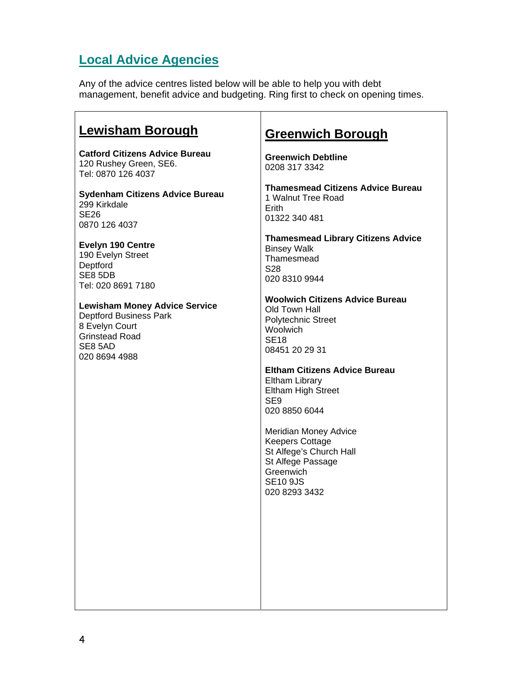# **Local Advice Agencies**

Any of the advice centres listed below will be able to help you with debt management, benefit advice and budgeting. Ring first to check on opening times.

| Lewisham Borough                                                                                                                             | <b>Greenwich Borough</b>                                                                                                                                |
|----------------------------------------------------------------------------------------------------------------------------------------------|---------------------------------------------------------------------------------------------------------------------------------------------------------|
| <b>Catford Citizens Advice Bureau</b><br>120 Rushey Green, SE6.<br>Tel: 0870 126 4037                                                        | <b>Greenwich Debtline</b><br>0208 317 3342                                                                                                              |
| <b>Sydenham Citizens Advice Bureau</b><br>299 Kirkdale<br>SE <sub>26</sub><br>0870 126 4037                                                  | <b>Thamesmead Citizens Advice Bureau</b><br>1 Walnut Tree Road<br>Erith<br>01322 340 481                                                                |
| <b>Evelyn 190 Centre</b><br>190 Evelyn Street<br>Deptford<br>SE8 5DB<br>Tel: 020 8691 7180                                                   | <b>Thamesmead Library Citizens Advice</b><br><b>Binsey Walk</b><br>Thamesmead<br>S28<br>020 8310 9944                                                   |
| <b>Lewisham Money Advice Service</b><br><b>Deptford Business Park</b><br>8 Evelyn Court<br><b>Grinstead Road</b><br>SE8 5AD<br>020 8694 4988 | <b>Woolwich Citizens Advice Bureau</b><br>Old Town Hall<br><b>Polytechnic Street</b><br>Woolwich<br><b>SE18</b><br>08451 20 29 31                       |
|                                                                                                                                              | <b>Eltham Citizens Advice Bureau</b><br>Eltham Library<br><b>Eltham High Street</b><br>SE <sub>9</sub><br>020 8850 6044                                 |
|                                                                                                                                              | <b>Meridian Money Advice</b><br><b>Keepers Cottage</b><br>St Alfege's Church Hall<br>St Alfege Passage<br>Greenwich<br><b>SE10 9JS</b><br>020 8293 3432 |
|                                                                                                                                              |                                                                                                                                                         |
|                                                                                                                                              |                                                                                                                                                         |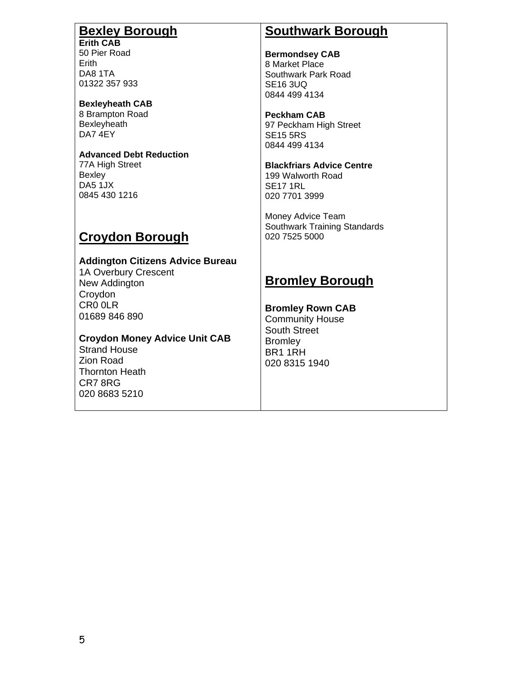## **Bexley Borough**

**Erith CAB**  50 Pier Road Erith DA8 1TA 01322 357 933

**Bexleyheath CAB**  8 Brampton Road Bexleyheath DA7 4EY

#### **Advanced Debt Reduction**

77A High Street **Bexley** DA5 1JX 0845 430 1216

### **Croydon Borough**

**Addington Citizens Advice Bureau**  1A Overbury Crescent New Addington Croydon CR0 0LR 01689 846 890

**Croydon Money Advice Unit CAB**  Strand House Zion Road Thornton Heath CR7 8RG 020 8683 5210

### **Southwark Borough**

**Bermondsey CAB**  8 Market Place Southwark Park Road SE16 3UQ 0844 499 4134

**Peckham CAB**  97 Peckham High Street SE15 5RS 0844 499 4134

**Blackfriars Advice Centre**  199 Walworth Road SE17 1RL 020 7701 3999

Money Advice Team Southwark Training Standards 020 7525 5000

### **Bromley Borough**

**Bromley Rown CAB**  Community House

South Street **Bromley** BR1 1RH 020 8315 1940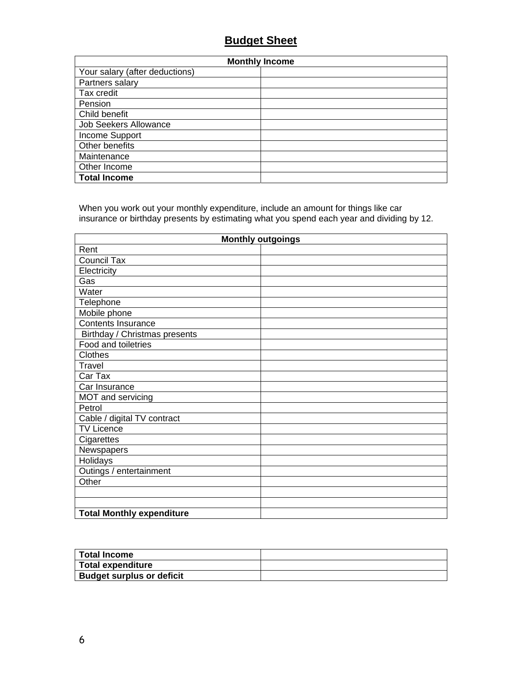### **Budget Sheet**

| <b>Monthly Income</b>          |  |
|--------------------------------|--|
| Your salary (after deductions) |  |
| Partners salary                |  |
| Tax credit                     |  |
| Pension                        |  |
| Child benefit                  |  |
| <b>Job Seekers Allowance</b>   |  |
| Income Support                 |  |
| Other benefits                 |  |
| Maintenance                    |  |
| Other Income                   |  |
| <b>Total Income</b>            |  |

When you work out your monthly expenditure, include an amount for things like car insurance or birthday presents by estimating what you spend each year and dividing by 12.

| <b>Monthly outgoings</b>         |  |
|----------------------------------|--|
| Rent                             |  |
| <b>Council Tax</b>               |  |
| Electricity                      |  |
| Gas                              |  |
| Water                            |  |
| Telephone                        |  |
| Mobile phone                     |  |
| <b>Contents Insurance</b>        |  |
| Birthday / Christmas presents    |  |
| Food and toiletries              |  |
| Clothes                          |  |
| Travel                           |  |
| Car Tax                          |  |
| Car Insurance                    |  |
| MOT and servicing                |  |
| Petrol                           |  |
| Cable / digital TV contract      |  |
| <b>TV Licence</b>                |  |
| Cigarettes                       |  |
| Newspapers                       |  |
| Holidays                         |  |
| Outings / entertainment          |  |
| Other                            |  |
|                                  |  |
|                                  |  |
| <b>Total Monthly expenditure</b> |  |

| <b>Total Income</b>              |  |
|----------------------------------|--|
| Total expenditure                |  |
| <b>Budget surplus or deficit</b> |  |